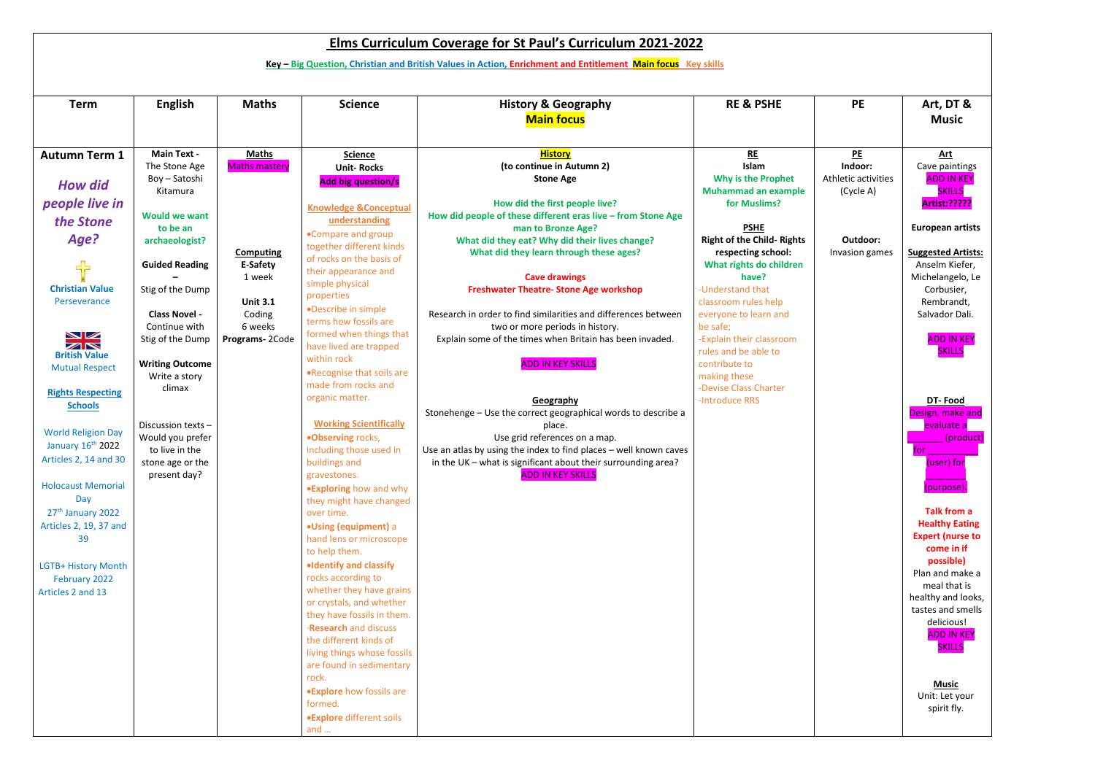| <b>Elms Curriculum Coverage for St Paul's Curriculum 2021-2022</b> |                                                                                                              |                      |                                                      |                                                                                                    |                                                         |                                  |                                    |  |  |  |  |
|--------------------------------------------------------------------|--------------------------------------------------------------------------------------------------------------|----------------------|------------------------------------------------------|----------------------------------------------------------------------------------------------------|---------------------------------------------------------|----------------------------------|------------------------------------|--|--|--|--|
|                                                                    | Key - Big Question, Christian and British Values in Action, Enrichment and Entitlement Main focus Key skills |                      |                                                      |                                                                                                    |                                                         |                                  |                                    |  |  |  |  |
|                                                                    |                                                                                                              |                      |                                                      |                                                                                                    |                                                         |                                  |                                    |  |  |  |  |
| <b>Term</b>                                                        | <b>English</b>                                                                                               | <b>Maths</b>         | <b>Science</b>                                       | <b>History &amp; Geography</b><br><b>Main focus</b>                                                | <b>RE &amp; PSHE</b>                                    | <b>PE</b>                        | Art, DT &<br><b>Music</b>          |  |  |  |  |
| <b>Autumn Term 1</b>                                               | <b>Main Text -</b>                                                                                           | <b>Maths</b>         | <b>Science</b>                                       | <b>History</b>                                                                                     | RE                                                      | <u>PE</u>                        | Art                                |  |  |  |  |
|                                                                    | The Stone Age                                                                                                | <b>Maths mastery</b> | <b>Unit-Rocks</b>                                    | (to continue in Autumn 2)                                                                          | Islam                                                   | Indoor:                          | Cave paintings                     |  |  |  |  |
| <b>How did</b>                                                     | Boy - Satoshi<br>Kitamura                                                                                    |                      | <b>Add big question/s</b>                            | <b>Stone Age</b>                                                                                   | Why is the Prophet<br><b>Muhammad an example</b>        | Athletic activities<br>(Cycle A) | <b>ADD IN KEY</b><br><b>SKILLS</b> |  |  |  |  |
| people live in                                                     |                                                                                                              |                      |                                                      | How did the first people live?                                                                     | for Muslims?                                            |                                  | Artist:?????                       |  |  |  |  |
| the Stone                                                          | <b>Would we want</b>                                                                                         |                      | <b>Knowledge &amp;Conceptual</b><br>understanding    | How did people of these different eras live - from Stone Age                                       |                                                         |                                  |                                    |  |  |  |  |
|                                                                    | to be an                                                                                                     |                      | •Compare and group                                   | man to Bronze Age?                                                                                 | <b>PSHE</b>                                             |                                  | <b>European artists</b>            |  |  |  |  |
| Age?                                                               | archaeologist?                                                                                               | <b>Computing</b>     | together different kinds                             | What did they eat? Why did their lives change?<br>What did they learn through these ages?          | <b>Right of the Child- Rights</b><br>respecting school: | Outdoor:<br>Invasion games       | <b>Suggested Artists:</b>          |  |  |  |  |
| 55                                                                 | <b>Guided Reading</b>                                                                                        | E-Safety             | of rocks on the basis of                             |                                                                                                    | What rights do children                                 |                                  | Anselm Kiefer,                     |  |  |  |  |
|                                                                    |                                                                                                              | 1 week               | their appearance and<br>simple physical              | <b>Cave drawings</b>                                                                               | have?                                                   |                                  | Michelangelo, Le                   |  |  |  |  |
| <b>Christian Value</b>                                             | Stig of the Dump                                                                                             |                      | properties                                           | <b>Freshwater Theatre- Stone Age workshop</b>                                                      | -Understand that                                        |                                  | Corbusier,                         |  |  |  |  |
| Perseverance                                                       | <b>Class Novel -</b>                                                                                         | <b>Unit 3.1</b>      | •Describe in simple                                  | Research in order to find similarities and differences between                                     | classroom rules help<br>everyone to learn and           |                                  | Rembrandt,<br>Salvador Dali.       |  |  |  |  |
|                                                                    | Continue with                                                                                                | Coding<br>6 weeks    | terms how fossils are                                | two or more periods in history.                                                                    | be safe;                                                |                                  |                                    |  |  |  |  |
| XX                                                                 | Stig of the Dump                                                                                             | Programs-2Code       | formed when things that                              | Explain some of the times when Britain has been invaded.                                           | -Explain their classroom                                |                                  | <b>ADD IN KEY</b>                  |  |  |  |  |
| <b>British Value</b>                                               |                                                                                                              |                      | have lived are trapped<br>within rock                |                                                                                                    | rules and be able to                                    |                                  | <b>SKILLS</b>                      |  |  |  |  |
| <b>Mutual Respect</b>                                              | <b>Writing Outcome</b>                                                                                       |                      | .Recognise that soils are                            | <b>ADD IN KEY SKILLS</b>                                                                           | contribute to                                           |                                  |                                    |  |  |  |  |
|                                                                    | Write a story<br>climax                                                                                      |                      | made from rocks and                                  |                                                                                                    | making these<br>-Devise Class Charter                   |                                  |                                    |  |  |  |  |
| <b>Rights Respecting</b>                                           |                                                                                                              |                      | organic matter.                                      | Geography                                                                                          | -Introduce RRS                                          |                                  | DT-Food                            |  |  |  |  |
| <b>Schools</b>                                                     |                                                                                                              |                      |                                                      | Stonehenge - Use the correct geographical words to describe a                                      |                                                         |                                  | Design, make and                   |  |  |  |  |
| <b>World Religion Day</b>                                          | Discussion texts -                                                                                           |                      | <b>Working Scientifically</b>                        | place.                                                                                             |                                                         |                                  | evaluate a                         |  |  |  |  |
| January 16th 2022                                                  | Would you prefer<br>to live in the                                                                           |                      | <b>.Observing rocks,</b><br>including those used in  | Use grid references on a map.<br>Use an atlas by using the index to find places - well known caves |                                                         |                                  | (product)<br>for                   |  |  |  |  |
| Articles 2, 14 and 30                                              | stone age or the                                                                                             |                      | buildings and                                        | in the UK – what is significant about their surrounding area?                                      |                                                         |                                  | (user) for                         |  |  |  |  |
|                                                                    | present day?                                                                                                 |                      | gravestones.                                         | <b>ADD IN KEY SKILLS</b>                                                                           |                                                         |                                  |                                    |  |  |  |  |
| <b>Holocaust Memorial</b>                                          |                                                                                                              |                      | <b>.Exploring how and why</b>                        |                                                                                                    |                                                         |                                  | (purpose).                         |  |  |  |  |
| Day                                                                |                                                                                                              |                      | they might have changed                              |                                                                                                    |                                                         |                                  | <b>Talk from a</b>                 |  |  |  |  |
| 27th January 2022<br>Articles 2, 19, 37 and                        |                                                                                                              |                      | over time.<br>·Using (equipment) a                   |                                                                                                    |                                                         |                                  | <b>Healthy Eating</b>              |  |  |  |  |
| 39                                                                 |                                                                                                              |                      | hand lens or microscope                              |                                                                                                    |                                                         |                                  | <b>Expert (nurse to</b>            |  |  |  |  |
|                                                                    |                                                                                                              |                      | to help them.                                        |                                                                                                    |                                                         |                                  | come in if                         |  |  |  |  |
| <b>LGTB+ History Month</b>                                         |                                                                                                              |                      | <b>.Identify and classify</b>                        |                                                                                                    |                                                         |                                  | possible)<br>Plan and make a       |  |  |  |  |
| February 2022                                                      |                                                                                                              |                      | rocks according to                                   |                                                                                                    |                                                         |                                  | meal that is                       |  |  |  |  |
| Articles 2 and 13                                                  |                                                                                                              |                      | whether they have grains<br>or crystals, and whether |                                                                                                    |                                                         |                                  | healthy and looks,                 |  |  |  |  |
|                                                                    |                                                                                                              |                      | they have fossils in them.                           |                                                                                                    |                                                         |                                  | tastes and smells                  |  |  |  |  |
|                                                                    |                                                                                                              |                      | Research and discuss                                 |                                                                                                    |                                                         |                                  | delicious!                         |  |  |  |  |
|                                                                    |                                                                                                              |                      | the different kinds of                               |                                                                                                    |                                                         |                                  | <b>ADD IN KEY</b><br><b>SKILLS</b> |  |  |  |  |
|                                                                    |                                                                                                              |                      | living things whose fossils                          |                                                                                                    |                                                         |                                  |                                    |  |  |  |  |
|                                                                    |                                                                                                              |                      | are found in sedimentary<br>rock.                    |                                                                                                    |                                                         |                                  |                                    |  |  |  |  |
|                                                                    |                                                                                                              |                      | <b>.Explore</b> how fossils are                      |                                                                                                    |                                                         |                                  | <b>Music</b>                       |  |  |  |  |
|                                                                    |                                                                                                              |                      | formed.                                              |                                                                                                    |                                                         |                                  | Unit: Let your<br>spirit fly.      |  |  |  |  |
|                                                                    |                                                                                                              |                      | •Explore different soils                             |                                                                                                    |                                                         |                                  |                                    |  |  |  |  |
|                                                                    |                                                                                                              |                      | and $\ldots$                                         |                                                                                                    |                                                         |                                  |                                    |  |  |  |  |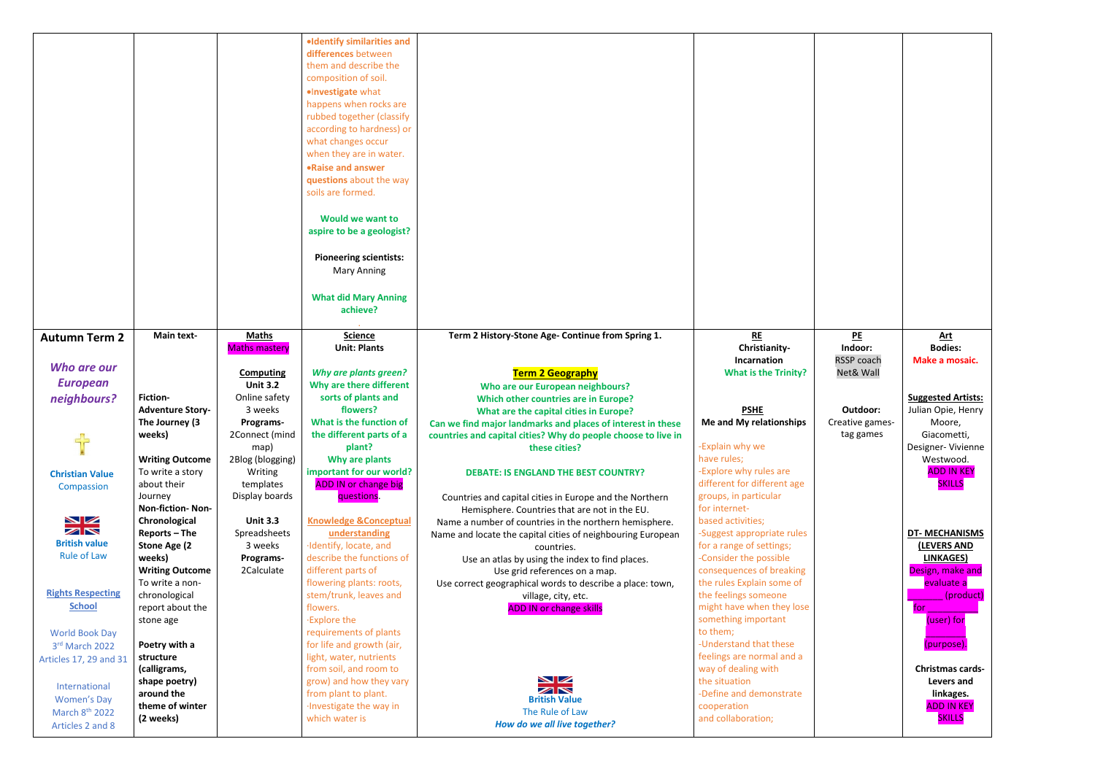|                                                |                             |                      | ·Identify similarities and                      |                                                               |                                      |
|------------------------------------------------|-----------------------------|----------------------|-------------------------------------------------|---------------------------------------------------------------|--------------------------------------|
|                                                |                             |                      | differences between                             |                                                               |                                      |
|                                                |                             |                      | them and describe the                           |                                                               |                                      |
|                                                |                             |                      | composition of soil.                            |                                                               |                                      |
|                                                |                             |                      | ·Investigate what                               |                                                               |                                      |
|                                                |                             |                      | happens when rocks are                          |                                                               |                                      |
|                                                |                             |                      | rubbed together (classify                       |                                                               |                                      |
|                                                |                             |                      | according to hardness) or                       |                                                               |                                      |
|                                                |                             |                      | what changes occur                              |                                                               |                                      |
|                                                |                             |                      | when they are in water.                         |                                                               |                                      |
|                                                |                             |                      | .Raise and answer                               |                                                               |                                      |
|                                                |                             |                      | questions about the way                         |                                                               |                                      |
|                                                |                             |                      | soils are formed.                               |                                                               |                                      |
|                                                |                             |                      | <b>Would we want to</b>                         |                                                               |                                      |
|                                                |                             |                      | aspire to be a geologist?                       |                                                               |                                      |
|                                                |                             |                      |                                                 |                                                               |                                      |
|                                                |                             |                      | <b>Pioneering scientists:</b>                   |                                                               |                                      |
|                                                |                             |                      | <b>Mary Anning</b>                              |                                                               |                                      |
|                                                |                             |                      | <b>What did Mary Anning</b>                     |                                                               |                                      |
|                                                |                             |                      | achieve?                                        |                                                               |                                      |
|                                                |                             |                      |                                                 |                                                               |                                      |
| <b>Autumn Term 2</b>                           | <b>Main text-</b>           | <b>Maths</b>         | <b>Science</b>                                  | Term 2 History-Stone Age- Continue from Spring 1.             | RE                                   |
|                                                |                             | <b>Maths mastery</b> | <b>Unit: Plants</b>                             |                                                               | Christianity-                        |
|                                                |                             |                      |                                                 |                                                               | <b>Incarnation</b>                   |
| Who are our                                    |                             | <b>Computing</b>     | <b>Why are plants green?</b>                    | <b>Term 2 Geography</b>                                       | <b>What is the Trinity?</b>          |
| <b>European</b>                                |                             | <b>Unit 3.2</b>      | Why are there different                         | <b>Who are our European neighbours?</b>                       |                                      |
|                                                |                             |                      |                                                 |                                                               |                                      |
|                                                | <b>Fiction-</b>             | Online safety        | sorts of plants and                             | <b>Which other countries are in Europe?</b>                   |                                      |
| neighbours?                                    | <b>Adventure Story-</b>     | 3 weeks              | flowers?                                        | What are the capital cities in Europe?                        | <b>PSHE</b>                          |
|                                                | The Journey (3              | Programs-            | What is the function of                         | Can we find major landmarks and places of interest in these   | Me and My relationships              |
|                                                | weeks)                      | 2Connect (mind       | the different parts of a                        | countries and capital cities? Why do people choose to live in |                                      |
| 52                                             |                             | map)                 | plant?                                          | these cities?                                                 | -Explain why we                      |
|                                                | <b>Writing Outcome</b>      | 2Blog (blogging)     | Why are plants                                  |                                                               | have rules;                          |
| <b>Christian Value</b>                         | To write a story            | Writing              | important for our world?                        | <b>DEBATE: IS ENGLAND THE BEST COUNTRY?</b>                   | -Explore why rules are               |
| Compassion                                     | about their                 | templates            | <b>ADD IN or change big</b>                     |                                                               | different for different age          |
|                                                | Journey                     | Display boards       | questions.                                      | Countries and capital cities in Europe and the Northern       | groups, in particular                |
|                                                | <b>Non-fiction-Non-</b>     |                      |                                                 | Hemisphere. Countries that are not in the EU.                 | for internet-                        |
| $\blacktriangleright$ $\blacktriangleright$    | Chronological               | <b>Unit 3.3</b>      | <b>Knowledge &amp;Conceptual</b>                | Name a number of countries in the northern hemisphere.        | based activities;                    |
| ZN                                             | Reports - The               | Spreadsheets         | understanding                                   | Name and locate the capital cities of neighbouring European   | -Suggest appropriate rules           |
| <b>British value</b>                           | Stone Age (2                | 3 weeks              | ·Identify, locate, and                          | countries.                                                    | for a range of settings;             |
| <b>Rule of Law</b>                             | weeks)                      | Programs-            | describe the functions of                       | Use an atlas by using the index to find places.               | -Consider the possible               |
|                                                | <b>Writing Outcome</b>      | 2Calculate           | different parts of                              | Use grid references on a map.                                 | consequences of breaking             |
|                                                | To write a non-             |                      | flowering plants: roots,                        | Use correct geographical words to describe a place: town,     | the rules Explain some of            |
| <b>Rights Respecting</b>                       | chronological               |                      | stem/trunk, leaves and                          | village, city, etc.                                           | the feelings someone                 |
| <b>School</b>                                  | report about the            |                      | flowers.                                        | <b>ADD IN or change skills</b>                                | might have when they lose            |
|                                                | stone age                   |                      | <b>Explore the</b>                              |                                                               | something important                  |
| <b>World Book Day</b>                          |                             |                      | requirements of plants                          |                                                               | to them;                             |
| 3rd March 2022                                 | Poetry with a               |                      | for life and growth (air,                       |                                                               | -Understand that these               |
| Articles 17, 29 and 31                         | structure                   |                      | light, water, nutrients                         |                                                               | feelings are normal and a            |
|                                                | (calligrams,                |                      | from soil, and room to                          |                                                               | way of dealing with<br>the situation |
| International                                  | shape poetry)<br>around the |                      | grow) and how they vary<br>from plant to plant. | XX                                                            | -Define and demonstrate              |
| <b>Women's Day</b>                             | theme of winter             |                      | Investigate the way in                          | <b>British Value</b>                                          | cooperation                          |
| March 8 <sup>th</sup> 2022<br>Articles 2 and 8 | (2 weeks)                   |                      | which water is                                  | The Rule of Law<br>How do we all live together?               | and collaboration;                   |

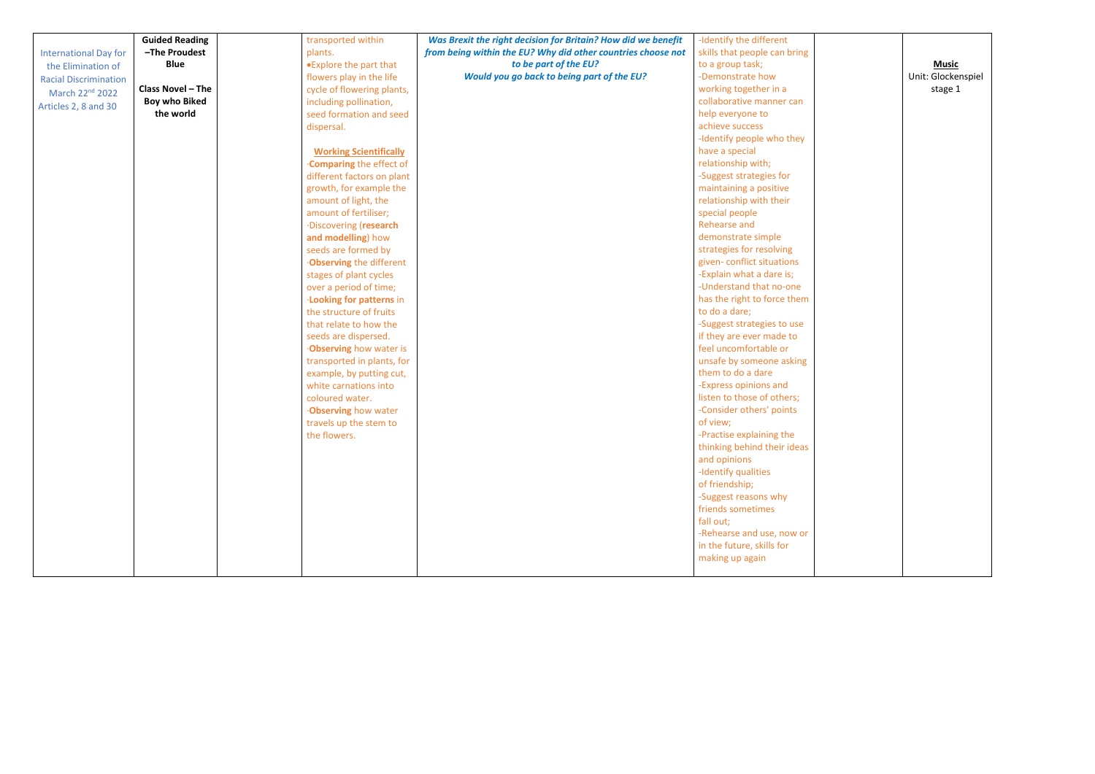|                              | <b>Guided Reading</b> | transported within             | Was Brexit the right decision for Britain? How did we benefit | -Identify the different             |
|------------------------------|-----------------------|--------------------------------|---------------------------------------------------------------|-------------------------------------|
| <b>International Day for</b> | -The Proudest         | plants.                        | from being within the EU? Why did other countries choose not  | skills that people can bring        |
| the Elimination of           | <b>Blue</b>           | •Explore the part that         | to be part of the EU?                                         | to a group task;                    |
| <b>Racial Discrimination</b> |                       | flowers play in the life       | Would you go back to being part of the EU?                    | -Demonstrate how                    |
| March 22 <sup>nd</sup> 2022  | Class Novel - The     | cycle of flowering plants,     |                                                               | working together in a               |
|                              | <b>Boy who Biked</b>  | including pollination,         |                                                               | collaborative manner can            |
| Articles 2, 8 and 30         | the world             | seed formation and seed        |                                                               | help everyone to                    |
|                              |                       | dispersal.                     |                                                               | achieve success                     |
|                              |                       |                                |                                                               | -Identify people who they           |
|                              |                       | <b>Working Scientifically</b>  |                                                               | have a special                      |
|                              |                       | Comparing the effect of        |                                                               | relationship with;                  |
|                              |                       | different factors on plant     |                                                               | -Suggest strategies for             |
|                              |                       | growth, for example the        |                                                               | maintaining a positive              |
|                              |                       | amount of light, the           |                                                               | relationship with their             |
|                              |                       | amount of fertiliser;          |                                                               | special people                      |
|                              |                       | ·Discovering (research         |                                                               | <b>Rehearse and</b>                 |
|                              |                       | and modelling) how             |                                                               | demonstrate simple                  |
|                              |                       | seeds are formed by            |                                                               | strategies for resolving            |
|                              |                       | <b>Observing the different</b> |                                                               | given-conflict situations           |
|                              |                       | stages of plant cycles         |                                                               | -Explain what a dare is;            |
|                              |                       | over a period of time;         |                                                               | -Understand that no-one             |
|                              |                       | <b>Looking for patterns in</b> |                                                               | has the right to force them         |
|                              |                       | the structure of fruits        |                                                               | to do a dare;                       |
|                              |                       | that relate to how the         |                                                               | -Suggest strategies to use          |
|                              |                       | seeds are dispersed.           |                                                               | if they are ever made to            |
|                              |                       | <b>Observing</b> how water is  |                                                               | feel uncomfortable or               |
|                              |                       | transported in plants, for     |                                                               | unsafe by someone asking            |
|                              |                       | example, by putting cut,       |                                                               | them to do a dare                   |
|                              |                       | white carnations into          |                                                               | -Express opinions and               |
|                              |                       | coloured water.                |                                                               | listen to those of others;          |
|                              |                       | <b>Observing how water</b>     |                                                               | -Consider others' points            |
|                              |                       | travels up the stem to         |                                                               | of view;                            |
|                              |                       | the flowers.                   |                                                               | -Practise explaining the            |
|                              |                       |                                |                                                               | thinking behind their ideas         |
|                              |                       |                                |                                                               | and opinions<br>-Identify qualities |
|                              |                       |                                |                                                               | of friendship;                      |
|                              |                       |                                |                                                               | -Suggest reasons why                |
|                              |                       |                                |                                                               | friends sometimes                   |
|                              |                       |                                |                                                               | fall out;                           |
|                              |                       |                                |                                                               | -Rehearse and use, now or           |
|                              |                       |                                |                                                               | in the future, skills for           |
|                              |                       |                                |                                                               | making up again                     |
|                              |                       |                                |                                                               |                                     |
|                              |                       |                                |                                                               |                                     |

| <b>Music</b><br>Unit: Glockenspiel<br>stage 1 |  |
|-----------------------------------------------|--|
|                                               |  |
|                                               |  |
|                                               |  |
|                                               |  |
|                                               |  |
|                                               |  |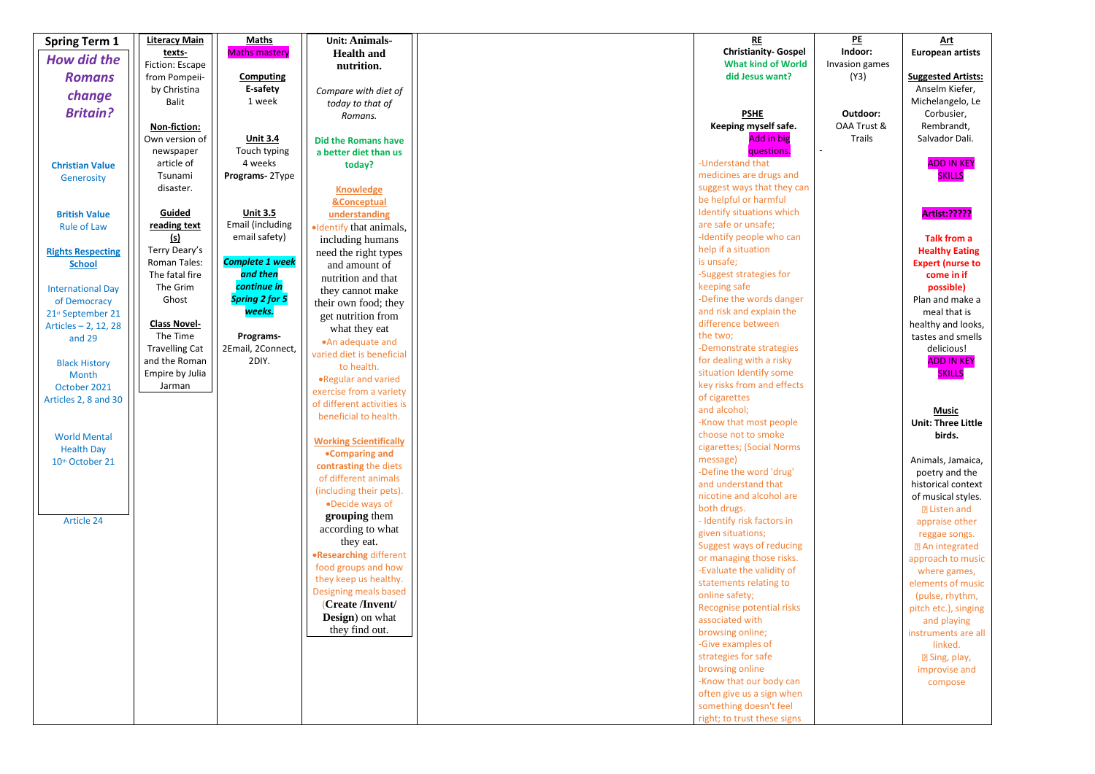| <b>Spring Term 1</b>     | <b>Literacy Main</b>      | <b>Maths</b>               | <b>Unit: Animals-</b>          | <b>RE</b>                                           |
|--------------------------|---------------------------|----------------------------|--------------------------------|-----------------------------------------------------|
| <b>How did the</b>       | texts-                    | <b>Maths mastery</b>       | <b>Health and</b>              | <b>Christianity- Gospel</b>                         |
|                          | Fiction: Escape           |                            | nutrition.                     | <b>What kind of World</b>                           |
| <b>Romans</b>            | from Pompeii-             | <b>Computing</b>           |                                | did Jesus want?                                     |
| change                   | by Christina              | E-safety                   | Compare with diet of           |                                                     |
| <b>Britain?</b>          | <b>Balit</b>              | 1 week                     | today to that of               |                                                     |
|                          | Non-fiction:              |                            | Romans.                        | <b>PSHE</b><br>Keeping myself safe.                 |
|                          | Own version of            | <b>Unit 3.4</b>            | <b>Did the Romans have</b>     | <b>Add in big</b>                                   |
|                          | newspaper                 | Touch typing               | a better diet than us          | questions.                                          |
| <b>Christian Value</b>   | article of                | 4 weeks                    | today?                         | -Understand that                                    |
| Generosity               | Tsunami                   | Programs-2Type             |                                | medicines are drugs and                             |
|                          | disaster.                 |                            | <b>Knowledge</b>               | suggest ways that they can                          |
|                          |                           |                            | <b>&amp;Conceptual</b>         | be helpful or harmful                               |
| <b>British Value</b>     | Guided                    | <b>Unit 3.5</b>            | understanding                  | Identify situations which                           |
| <b>Rule of Law</b>       | reading text              | Email (including           | ·Identify that animals,        | are safe or unsafe;                                 |
|                          | <u>(s)</u>                | email safety)              | including humans               | -Identify people who can                            |
| <b>Rights Respecting</b> | Terry Deary's             |                            | need the right types           | help if a situation                                 |
| <b>School</b>            | <b>Roman Tales:</b>       | <b>Complete 1 week</b>     | and amount of                  | is unsafe;                                          |
|                          | The fatal fire            | and then                   | nutrition and that             | -Suggest strategies for                             |
| <b>International Day</b> | The Grim                  | continue in                | they cannot make               | keeping safe                                        |
| of Democracy             | Ghost                     | <b>Spring 2 for 5</b>      | their own food; they           | -Define the words danger                            |
| 21st September 21        |                           | weeks.                     | get nutrition from             | and risk and explain the                            |
| Articles - 2, 12, 28     | <b>Class Novel-</b>       |                            | what they eat                  | difference between                                  |
| and 29                   | The Time                  | Programs-                  | .An adequate and               | the two;                                            |
|                          | <b>Travelling Cat</b>     | 2Email, 2Connect,<br>2DIY. | varied diet is beneficial      | -Demonstrate strategies<br>for dealing with a risky |
| <b>Black History</b>     | and the Roman             |                            | to health.                     | situation Identify some                             |
| Month                    | Empire by Julia<br>Jarman |                            | .Regular and varied            | key risks from and effects                          |
| October 2021             |                           |                            | exercise from a variety        | of cigarettes                                       |
| Articles 2, 8 and 30     |                           |                            | of different activities is     | and alcohol;                                        |
|                          |                           |                            | beneficial to health.          | -Know that most people                              |
| <b>World Mental</b>      |                           |                            |                                | choose not to smoke                                 |
| <b>Health Day</b>        |                           |                            | <b>Working Scientifically</b>  | cigarettes; (Social Norms                           |
| 10th October 21          |                           |                            | •Comparing and                 | message)                                            |
|                          |                           |                            | contrasting the diets          | -Define the word 'drug'                             |
|                          |                           |                            | of different animals           | and understand that                                 |
|                          |                           |                            | (including their pets).        | nicotine and alcohol are                            |
|                          |                           |                            | •Decide ways of                | both drugs.                                         |
| Article 24               |                           |                            | grouping them                  | - Identify risk factors in                          |
|                          |                           |                            | according to what<br>they eat. | given situations;                                   |
|                          |                           |                            | <b>.Researching different</b>  | Suggest ways of reducing                            |
|                          |                           |                            | food groups and how            | or managing those risks.                            |
|                          |                           |                            | they keep us healthy.          | -Evaluate the validity of                           |
|                          |                           |                            | Designing meals based          | statements relating to                              |
|                          |                           |                            | (Create /Invent/               | online safety;                                      |
|                          |                           |                            | <b>Design</b> ) on what        | Recognise potential risks<br>associated with        |
|                          |                           |                            | they find out.                 | browsing online;                                    |
|                          |                           |                            |                                | -Give examples of                                   |
|                          |                           |                            |                                | strategies for safe                                 |
|                          |                           |                            |                                | browsing online                                     |
|                          |                           |                            |                                | -Know that our body can                             |
|                          |                           |                            |                                | often give us a sign when                           |
|                          |                           |                            |                                | something doesn't feel                              |
|                          |                           |                            |                                | right; to trust these signs                         |

**PE Indoor:** Invasion games (Y3)

> **Outdoor:** OAA Trust & Trails

## **Art European artists Suggested Artists:** Anselm Kiefer, Michelangelo, Le Corbusier, Rembrandt, Salvador Dali. ADD IN KEY **SKILLS Artist:????? Talk from a Healthy Eating Expert (nurse to come in if possible)** Plan and make a meal that is healthy and looks, tastes and smells delicious! ADD IN KEY **SKILLS Music Unit: Three Little birds.** Animals, Jamaica, poetry and the historical context of musical styles. Listen and appraise other reggae songs. An integrated approach to music where games, elements of music (pulse, rhythm,

pitch etc.), singing and playing instruments are all linked. Sing, play, improvise and compose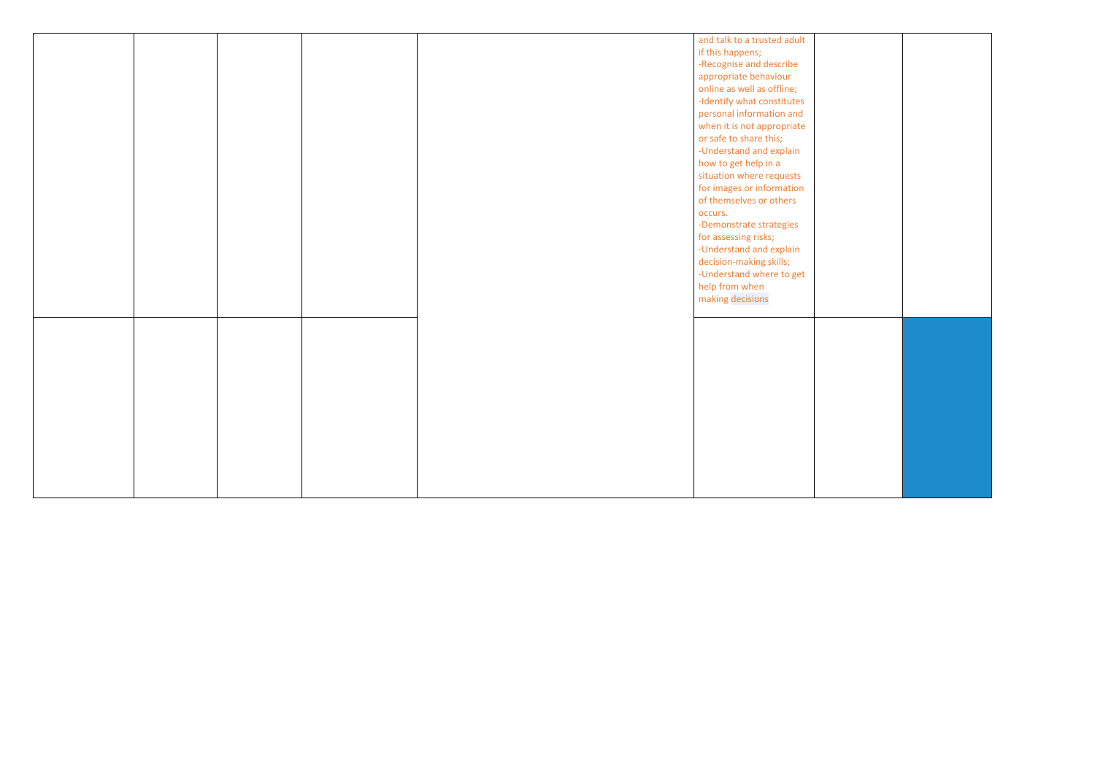|  |  | and talk to a trusted adult |
|--|--|-----------------------------|
|  |  | if this happens;            |
|  |  | -Recognise and describe     |
|  |  |                             |
|  |  | appropriate behaviour       |
|  |  | online as well as offline;  |
|  |  | -Identify what constitutes  |
|  |  | personal information and    |
|  |  | when it is not appropriate  |
|  |  | or safe to share this;      |
|  |  | -Understand and explain     |
|  |  | how to get help in a        |
|  |  | situation where requests    |
|  |  | for images or information   |
|  |  | of themselves or others     |
|  |  | occurs.                     |
|  |  | -Demonstrate strategies     |
|  |  | for assessing risks;        |
|  |  | -Understand and explain     |
|  |  | decision-making skills;     |
|  |  | -Understand where to get    |
|  |  | help from when              |
|  |  | making decisions            |
|  |  |                             |
|  |  |                             |
|  |  |                             |
|  |  |                             |
|  |  |                             |
|  |  |                             |
|  |  |                             |
|  |  |                             |
|  |  |                             |
|  |  |                             |
|  |  |                             |
|  |  |                             |
|  |  |                             |
|  |  |                             |
|  |  |                             |
|  |  |                             |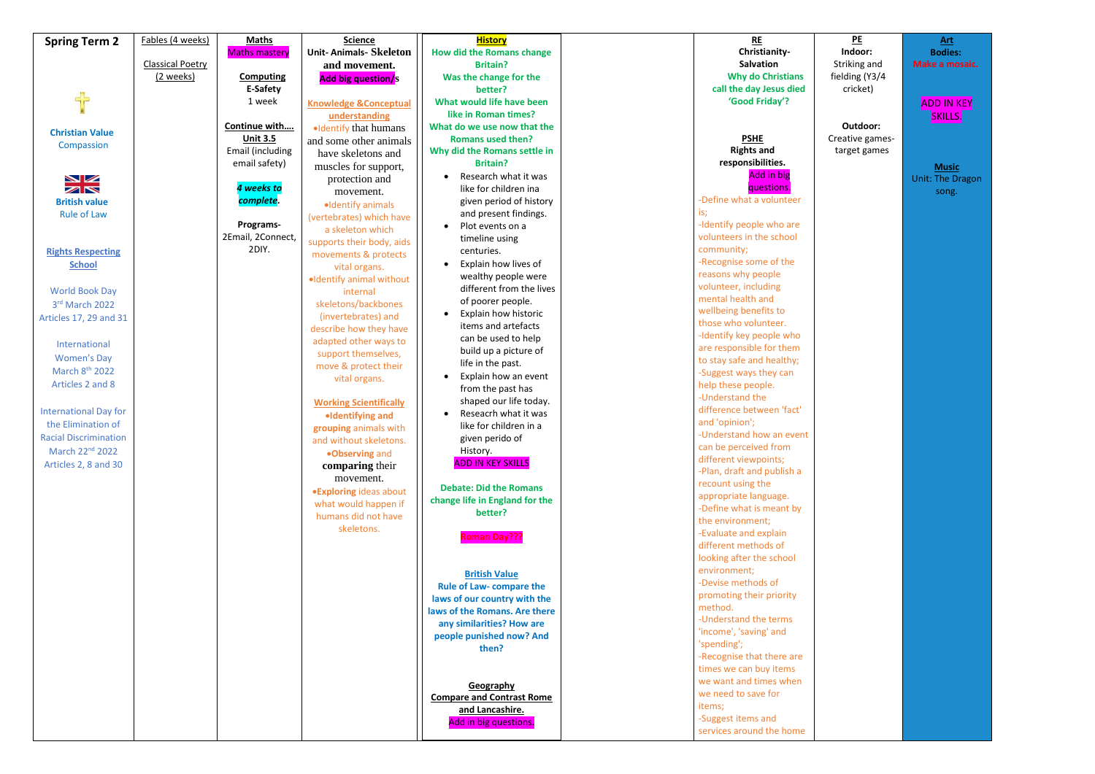| <b>Spring Term 2</b>         | Fables (4 weeks)        | <b>Maths</b>         | <b>Science</b>                              | <b>History</b>                             | <b>RE</b>                              |
|------------------------------|-------------------------|----------------------|---------------------------------------------|--------------------------------------------|----------------------------------------|
|                              |                         | <b>Maths mastery</b> | <b>Unit-Animals-Skeleton</b>                | <b>How did the Romans change</b>           | Christianity-<br><b>Salvation</b>      |
|                              | <b>Classical Poetry</b> |                      | and movement.                               | <b>Britain?</b>                            | <b>Why do Christians</b>               |
|                              | (2 weeks)               | <b>Computing</b>     | <b>Add big question/s</b>                   | Was the change for the                     |                                        |
| 루는                           |                         | E-Safety             |                                             | better?                                    | call the day Jesus died                |
|                              |                         | 1 week               | <b>Knowledge &amp;Conceptual</b>            | What would life have been                  | 'Good Friday'?                         |
|                              |                         |                      | understanding                               | like in Roman times?                       |                                        |
| <b>Christian Value</b>       |                         | Continue with        | ·Identify that humans                       | What do we use now that the                |                                        |
| Compassion                   |                         | <b>Unit 3.5</b>      | and some other animals                      | <b>Romans used then?</b>                   | <b>PSHE</b>                            |
|                              |                         | Email (including     | have skeletons and                          | Why did the Romans settle in               | <b>Rights and</b><br>responsibilities. |
|                              |                         | email safety)        | muscles for support,                        | <b>Britain?</b>                            | <b>Add in big</b>                      |
| $\blacksquare$               |                         | 4 weeks to           | protection and                              | Research what it was                       |                                        |
| $\blacktriangleright$        |                         |                      | movement.                                   | like for children ina                      | questions.<br>-Define what a volunteer |
| <b>British value</b>         |                         | complete.            | ·Identify animals                           | given period of history                    |                                        |
| <b>Rule of Law</b>           |                         | Programs-            | (vertebrates) which have                    | and present findings.                      | is;<br>-Identify people who are        |
|                              |                         | 2Email, 2Connect,    | a skeleton which                            | Plot events on a                           | volunteers in the school               |
|                              |                         | 2DIY.                | supports their body, aids                   | timeline using                             | community;                             |
| <b>Rights Respecting</b>     |                         |                      | movements & protects                        | centuries.                                 | -Recognise some of the                 |
| <b>School</b>                |                         |                      | vital organs.                               | Explain how lives of                       | reasons why people                     |
|                              |                         |                      | ·Identify animal without                    | wealthy people were                        | volunteer, including                   |
| <b>World Book Day</b>        |                         |                      | internal                                    | different from the lives                   | mental health and                      |
| 3rd March 2022               |                         |                      | skeletons/backbones                         | of poorer people.                          | wellbeing benefits to                  |
| Articles 17, 29 and 31       |                         |                      | (invertebrates) and                         | Explain how historic                       | those who volunteer.                   |
|                              |                         |                      | describe how they have                      | items and artefacts                        | -Identify key people who               |
| International                |                         |                      | adapted other ways to                       | can be used to help                        | are responsible for them               |
| <b>Women's Day</b>           |                         |                      | support themselves,                         | build up a picture of<br>life in the past. | to stay safe and healthy;              |
| March 8 <sup>th</sup> 2022   |                         |                      | move & protect their                        | Explain how an event                       | -Suggest ways they can                 |
| Articles 2 and 8             |                         |                      | vital organs.                               | from the past has                          | help these people.                     |
|                              |                         |                      |                                             | shaped our life today.                     | -Understand the                        |
| <b>International Day for</b> |                         |                      | <b>Working Scientifically</b>               | Reseacrh what it was                       | difference between 'fact'              |
| the Elimination of           |                         |                      | ·Identifying and                            | like for children in a                     | and 'opinion';                         |
| <b>Racial Discrimination</b> |                         |                      | grouping animals with                       | given perido of                            | -Understand how an event               |
| March 22 <sup>nd</sup> 2022  |                         |                      | and without skeletons.                      | History.                                   | can be perceived from                  |
| Articles 2, 8 and 30         |                         |                      | .Observing and                              | <b>ADD IN KEY SKILLS</b>                   | different viewpoints;                  |
|                              |                         |                      | comparing their                             |                                            | -Plan, draft and publish a             |
|                              |                         |                      | movement.                                   | <b>Debate: Did the Romans</b>              | recount using the                      |
|                              |                         |                      | <b>.Exploring ideas about</b>               | change life in England for the             | appropriate language.                  |
|                              |                         |                      | what would happen if<br>humans did not have | better?                                    | -Define what is meant by               |
|                              |                         |                      |                                             |                                            | the environment;                       |
|                              |                         |                      | skeletons.                                  | <b>Roman Day???</b>                        | -Evaluate and explain                  |
|                              |                         |                      |                                             |                                            | different methods of                   |
|                              |                         |                      |                                             |                                            | looking after the school               |
|                              |                         |                      |                                             | <b>British Value</b>                       | environment;                           |
|                              |                         |                      |                                             | <b>Rule of Law- compare the</b>            | -Devise methods of                     |
|                              |                         |                      |                                             | laws of our country with the               | promoting their priority               |
|                              |                         |                      |                                             | laws of the Romans. Are there              | method.                                |
|                              |                         |                      |                                             | any similarities? How are                  | -Understand the terms                  |
|                              |                         |                      |                                             | people punished now? And                   | 'income', 'saving' and                 |
|                              |                         |                      |                                             | then?                                      | 'spending';                            |
|                              |                         |                      |                                             |                                            | -Recognise that there are              |
|                              |                         |                      |                                             |                                            | times we can buy items                 |
|                              |                         |                      |                                             | Geography                                  | we want and times when                 |
|                              |                         |                      |                                             | <b>Compare and Contrast Rome</b>           | we need to save for                    |
|                              |                         |                      |                                             | and Lancashire.                            | items;                                 |
|                              |                         |                      |                                             | Add in big questions.                      | -Suggest items and                     |
|                              |                         |                      |                                             |                                            | services around the home               |

ADD IN KEY **SKILLS.** 

**PE Indoor:** Striking and fielding (Y3/4 cricket)

**Outdoor:** Creative games target games

**Art Bodies: Make a mosaic.**

**Music** Unit: The Dragon song.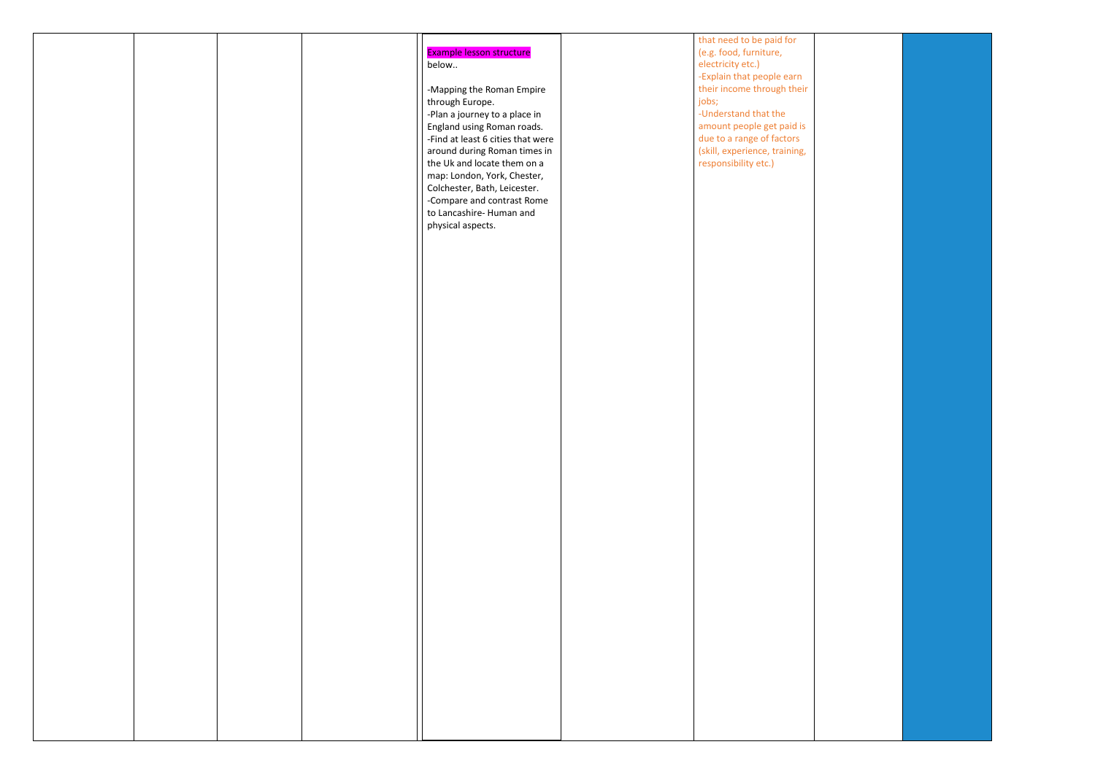|  |  |                                   | that need to be paid for      |
|--|--|-----------------------------------|-------------------------------|
|  |  | Example lesson structure          | (e.g. food, furniture,        |
|  |  | below                             | electricity etc.)             |
|  |  |                                   | -Explain that people earn     |
|  |  | -Mapping the Roman Empire         | their income through their    |
|  |  | through Europe.                   | jobs;                         |
|  |  |                                   | -Understand that the          |
|  |  | -Plan a journey to a place in     |                               |
|  |  | England using Roman roads.        | amount people get paid is     |
|  |  | -Find at least 6 cities that were | due to a range of factors     |
|  |  | around during Roman times in      | (skill, experience, training, |
|  |  | the Uk and locate them on a       | responsibility etc.)          |
|  |  | map: London, York, Chester,       |                               |
|  |  |                                   |                               |
|  |  | Colchester, Bath, Leicester.      |                               |
|  |  | -Compare and contrast Rome        |                               |
|  |  | to Lancashire- Human and          |                               |
|  |  | physical aspects.                 |                               |
|  |  |                                   |                               |
|  |  |                                   |                               |
|  |  |                                   |                               |
|  |  |                                   |                               |
|  |  |                                   |                               |
|  |  |                                   |                               |
|  |  |                                   |                               |
|  |  |                                   |                               |
|  |  |                                   |                               |
|  |  |                                   |                               |
|  |  |                                   |                               |
|  |  |                                   |                               |
|  |  |                                   |                               |
|  |  |                                   |                               |
|  |  |                                   |                               |
|  |  |                                   |                               |
|  |  |                                   |                               |
|  |  |                                   |                               |
|  |  |                                   |                               |
|  |  |                                   |                               |
|  |  |                                   |                               |
|  |  |                                   |                               |
|  |  |                                   |                               |
|  |  |                                   |                               |
|  |  |                                   |                               |
|  |  |                                   |                               |
|  |  |                                   |                               |
|  |  |                                   |                               |
|  |  |                                   |                               |
|  |  |                                   |                               |
|  |  |                                   |                               |
|  |  |                                   |                               |
|  |  |                                   |                               |
|  |  |                                   |                               |
|  |  |                                   |                               |
|  |  |                                   |                               |
|  |  |                                   |                               |
|  |  |                                   |                               |
|  |  |                                   |                               |
|  |  |                                   |                               |
|  |  |                                   |                               |
|  |  |                                   |                               |
|  |  |                                   |                               |
|  |  |                                   |                               |
|  |  |                                   |                               |
|  |  |                                   |                               |
|  |  |                                   |                               |

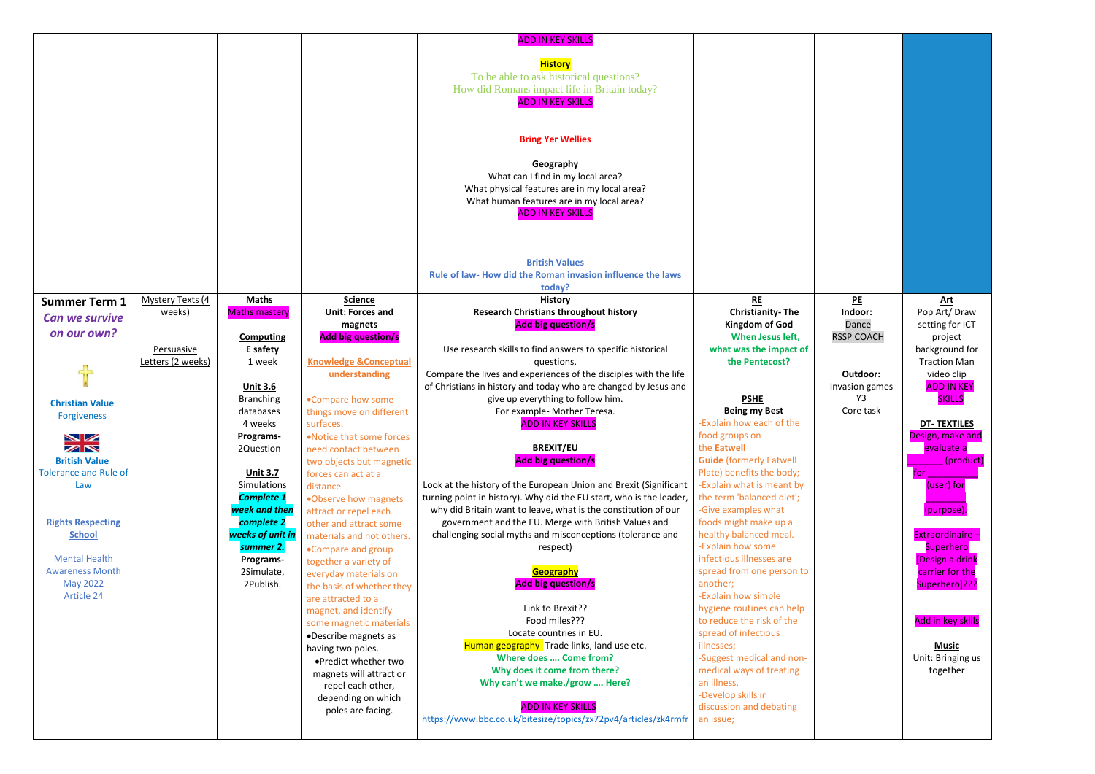|                                             |                          |                      |                                  | <b>ADD IN KEY SKILLS</b>                                            |                                |
|---------------------------------------------|--------------------------|----------------------|----------------------------------|---------------------------------------------------------------------|--------------------------------|
|                                             |                          |                      |                                  |                                                                     |                                |
|                                             |                          |                      |                                  | <b>History</b>                                                      |                                |
|                                             |                          |                      |                                  | To be able to ask historical questions?                             |                                |
|                                             |                          |                      |                                  | How did Romans impact life in Britain today?                        |                                |
|                                             |                          |                      |                                  | <b>ADD IN KEY SKILLS</b>                                            |                                |
|                                             |                          |                      |                                  |                                                                     |                                |
|                                             |                          |                      |                                  |                                                                     |                                |
|                                             |                          |                      |                                  | <b>Bring Yer Wellies</b>                                            |                                |
|                                             |                          |                      |                                  |                                                                     |                                |
|                                             |                          |                      |                                  |                                                                     |                                |
|                                             |                          |                      |                                  | Geography                                                           |                                |
|                                             |                          |                      |                                  | What can I find in my local area?                                   |                                |
|                                             |                          |                      |                                  | What physical features are in my local area?                        |                                |
|                                             |                          |                      |                                  | What human features are in my local area?                           |                                |
|                                             |                          |                      |                                  | <b>ADD IN KEY SKILLS</b>                                            |                                |
|                                             |                          |                      |                                  |                                                                     |                                |
|                                             |                          |                      |                                  |                                                                     |                                |
|                                             |                          |                      |                                  |                                                                     |                                |
|                                             |                          |                      |                                  | <b>British Values</b>                                               |                                |
|                                             |                          |                      |                                  | Rule of law- How did the Roman invasion influence the laws          |                                |
|                                             |                          |                      |                                  | today?                                                              |                                |
| <b>Summer Term 1</b>                        | <b>Mystery Texts (4)</b> | <b>Maths</b>         | <b>Science</b>                   | <b>History</b>                                                      | <b>RE</b>                      |
| <b>Can we survive</b>                       | weeks)                   | <b>Maths mastery</b> | <b>Unit: Forces and</b>          | <b>Research Christians throughout history</b>                       | <b>Christianity-The</b>        |
| on our own?                                 |                          |                      | magnets                          | <b>Add big question/s</b>                                           | <b>Kingdom of God</b>          |
|                                             |                          | <b>Computing</b>     | <b>Add big question/s</b>        |                                                                     | When Jesus left,               |
|                                             | Persuasive               | E safety             |                                  | Use research skills to find answers to specific historical          | what was the impact of         |
|                                             | Letters (2 weeks)        | 1 week               | <b>Knowledge &amp;Conceptual</b> | questions.                                                          | the Pentecost?                 |
|                                             |                          |                      | understanding                    | Compare the lives and experiences of the disciples with the life    |                                |
|                                             |                          | <b>Unit 3.6</b>      |                                  | of Christians in history and today who are changed by Jesus and     |                                |
| <b>Christian Value</b>                      |                          | <b>Branching</b>     | •Compare how some                | give up everything to follow him.                                   | <b>PSHE</b>                    |
| <b>Forgiveness</b>                          |                          | databases            | things move on different         | For example- Mother Teresa.                                         | <b>Being my Best</b>           |
|                                             |                          | 4 weeks              | surfaces.                        | <b>ADD IN KEY SKILLS</b>                                            | -Explain how each of the       |
| $\blacktriangleright$ $\blacktriangleright$ |                          | Programs-            | . Notice that some forces        |                                                                     | food groups on                 |
| ZN                                          |                          | 2Question            | need contact between             | <b>BREXIT/EU</b>                                                    | the Eatwell                    |
| <b>British Value</b>                        |                          |                      | two objects but magnetic         | <b>Add big question/s</b>                                           | <b>Guide</b> (formerly Eatwell |
| <b>Tolerance and Rule of</b>                |                          | <b>Unit 3.7</b>      | forces can act at a              |                                                                     | Plate) benefits the body;      |
| Law                                         |                          | <b>Simulations</b>   | distance                         | Look at the history of the European Union and Brexit (Significant   | -Explain what is meant by      |
|                                             |                          | <b>Complete 1</b>    | .Observe how magnets             | turning point in history). Why did the EU start, who is the leader, | the term 'balanced diet';      |
|                                             |                          | week and then        | attract or repel each            | why did Britain want to leave, what is the constitution of our      | -Give examples what            |
| <b>Rights Respecting</b>                    |                          | complete 2           | other and attract some           | government and the EU. Merge with British Values and                | foods might make up a          |
| <b>School</b>                               |                          | weeks of unit in     | materials and not others.        | challenging social myths and misconceptions (tolerance and          | healthy balanced meal.         |
|                                             |                          | summer 2.            | .Compare and group               | respect)                                                            | -Explain how some              |
| <b>Mental Health</b>                        |                          | Programs-            | together a variety of            |                                                                     | infectious illnesses are       |
| <b>Awareness Month</b>                      |                          | 2Simulate,           | everyday materials on            | <b>Geography</b>                                                    | spread from one person to      |
| <b>May 2022</b>                             |                          | 2Publish.            | the basis of whether they        | <b>Add big question/s</b>                                           | another;                       |
| Article 24                                  |                          |                      | are attracted to a               |                                                                     | -Explain how simple            |
|                                             |                          |                      | magnet, and identify             | Link to Brexit??                                                    | hygiene routines can help      |
|                                             |                          |                      | some magnetic materials          | Food miles???                                                       | to reduce the risk of the      |
|                                             |                          |                      | •Describe magnets as             | Locate countries in EU.                                             | spread of infectious           |
|                                             |                          |                      | having two poles.                | Human geography-Trade links, land use etc.                          | illnesses;                     |
|                                             |                          |                      | .Predict whether two             | Where does  Come from?                                              | -Suggest medical and non-      |
|                                             |                          |                      | magnets will attract or          | Why does it come from there?                                        | medical ways of treating       |
|                                             |                          |                      | repel each other,                | Why can't we make./grow  Here?                                      | an illness.                    |
|                                             |                          |                      | depending on which               |                                                                     | -Develop skills in             |
|                                             |                          |                      | poles are facing.                | <b>ADD IN KEY SKILLS</b>                                            | discussion and debating        |
|                                             |                          |                      |                                  | https://www.bbc.co.uk/bitesize/topics/zx72pv4/articles/zk4rmfr      | an issue;                      |
|                                             |                          |                      |                                  |                                                                     |                                |

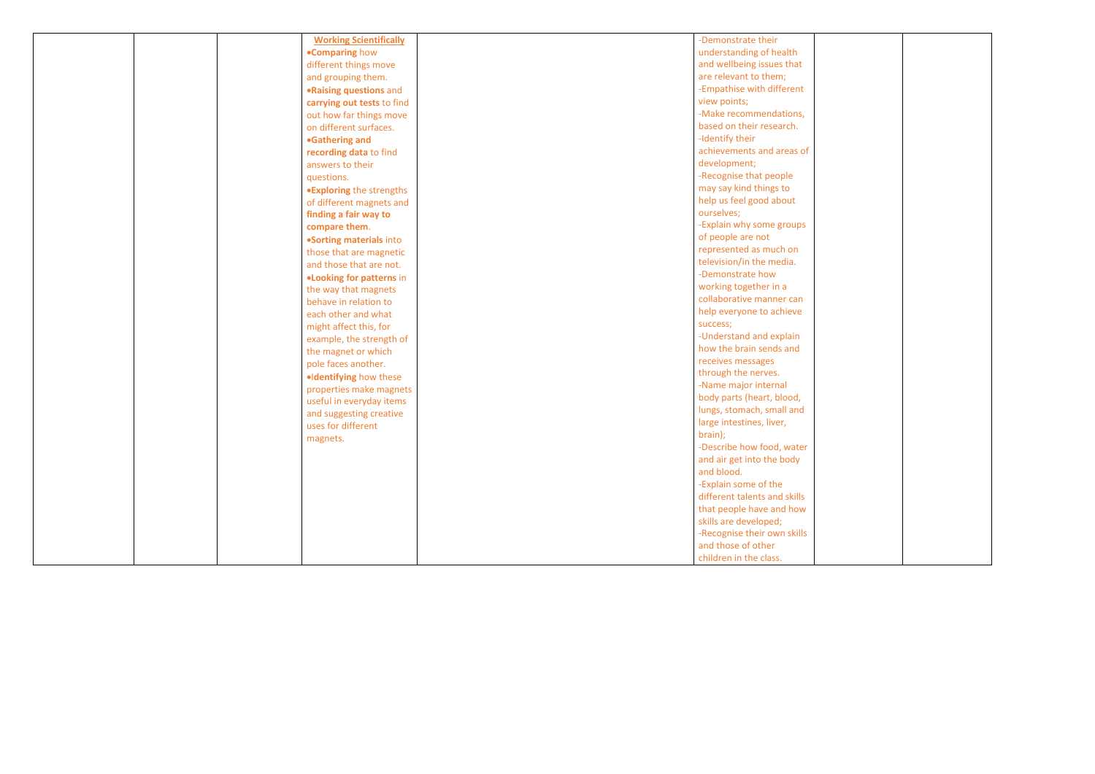|  | <b>Working Scientifically</b>   | -Demonstrate their                  |
|--|---------------------------------|-------------------------------------|
|  | <b>.Comparing how</b>           | understanding of health             |
|  | different things move           | and wellbeing issues that           |
|  | and grouping them.              | are relevant to them;               |
|  | .Raising questions and          | -Empathise with different           |
|  | carrying out tests to find      | view points;                        |
|  | out how far things move         | -Make recommendations,              |
|  | on different surfaces.          | based on their research.            |
|  | •Gathering and                  | -Identify their                     |
|  | recording data to find          | achievements and areas of           |
|  | answers to their                | development;                        |
|  | questions.                      | -Recognise that people              |
|  | <b>.Exploring the strengths</b> | may say kind things to              |
|  | of different magnets and        | help us feel good about             |
|  | finding a fair way to           | ourselves;                          |
|  | compare them.                   | -Explain why some groups            |
|  | •Sorting materials into         | of people are not                   |
|  | those that are magnetic         | represented as much on              |
|  | and those that are not.         | television/in the media.            |
|  | .Looking for patterns in        | -Demonstrate how                    |
|  | the way that magnets            | working together in a               |
|  | behave in relation to           | collaborative manner can            |
|  | each other and what             | help everyone to achieve            |
|  | might affect this, for          | success;                            |
|  | example, the strength of        | -Understand and explain             |
|  | the magnet or which             | how the brain sends and             |
|  | pole faces another.             | receives messages                   |
|  | ·Identifying how these          | through the nerves.                 |
|  | properties make magnets         | -Name major internal                |
|  | useful in everyday items        | body parts (heart, blood,           |
|  | and suggesting creative         | lungs, stomach, small and           |
|  | uses for different              | large intestines, liver,<br>brain); |
|  | magnets.                        | -Describe how food, water           |
|  |                                 | and air get into the body           |
|  |                                 | and blood.                          |
|  |                                 | -Explain some of the                |
|  |                                 | different talents and skills        |
|  |                                 | that people have and how            |
|  |                                 | skills are developed;               |
|  |                                 | -Recognise their own skills         |
|  |                                 | and those of other                  |
|  |                                 | children in the class.              |

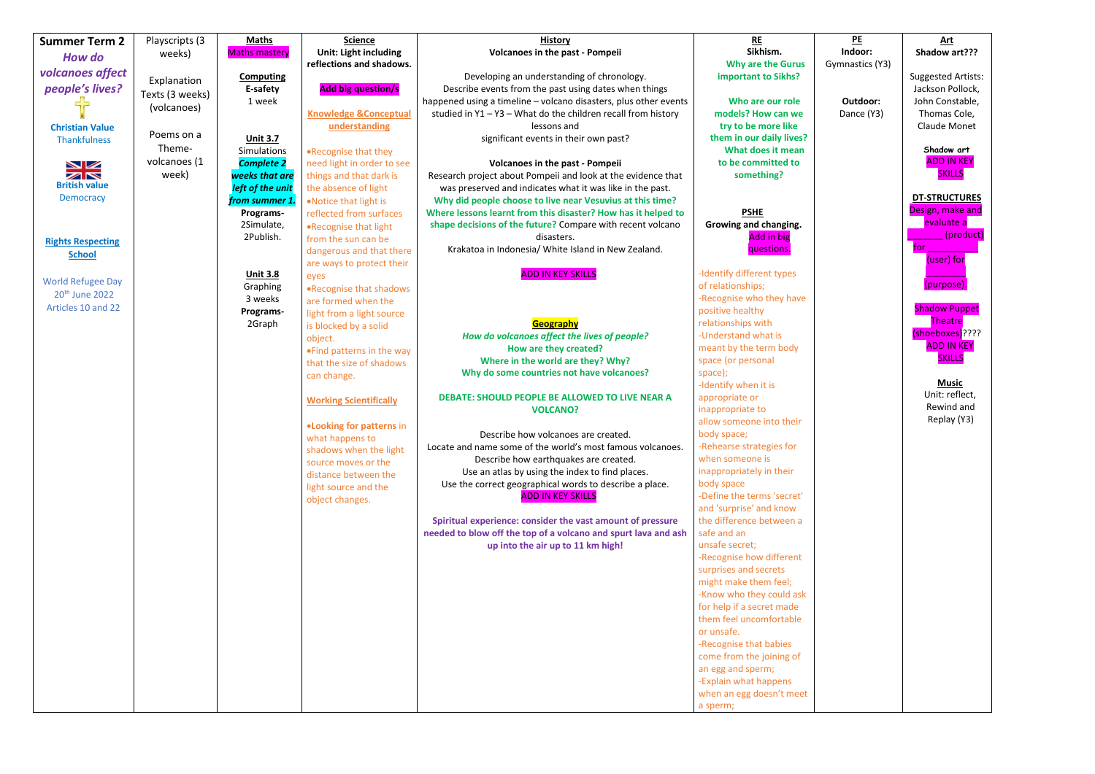| <b>Summer Term 2</b>        | Playscripts (3  | <b>Maths</b>         | <b>Science</b>                               | <b>History</b>                                                   | <b>RE</b>                  |
|-----------------------------|-----------------|----------------------|----------------------------------------------|------------------------------------------------------------------|----------------------------|
|                             | weeks)          | <b>Maths mastery</b> | <b>Unit: Light including</b>                 | <b>Volcanoes in the past - Pompeii</b>                           | Sikhism.                   |
| <b>How do</b>               |                 |                      | reflections and shadows.                     |                                                                  | <b>Why are the Gurus</b>   |
| volcanoes affect            |                 | <b>Computing</b>     |                                              | Developing an understanding of chronology.                       | important to Sikhs?        |
| people's lives?             | Explanation     | E-safety             | <b>Add big question/s</b>                    | Describe events from the past using dates when things            |                            |
|                             | Texts (3 weeks) | 1 week               |                                              | happened using a timeline - volcano disasters, plus other events | Who are our role           |
|                             | (volcanoes)     |                      | <b>Knowledge &amp;Conceptual</b>             | studied in $Y1 - Y3 - What$ do the children recall from history  | models? How can we         |
| <b>Christian Value</b>      |                 |                      | understanding                                | lessons and                                                      | try to be more like        |
| <b>Thankfulness</b>         | Poems on a      | <b>Unit 3.7</b>      |                                              | significant events in their own past?                            | them in our daily lives?   |
|                             | Theme-          | <b>Simulations</b>   | .Recognise that they                         |                                                                  | What does it mean          |
|                             | volcanoes (1    | <b>Complete 2</b>    | need light in order to see                   | <b>Volcanoes in the past - Pompeii</b>                           | to be committed to         |
| NZ<br>$\blacktriangleright$ | week)           | weeks that are       | things and that dark is                      | Research project about Pompeii and look at the evidence that     | something?                 |
| <b>British value</b>        |                 | left of the unit     | the absence of light                         | was preserved and indicates what it was like in the past.        |                            |
| <b>Democracy</b>            |                 | from summer 1        | .Notice that light is                        | Why did people choose to live near Vesuvius at this time?        |                            |
|                             |                 | Programs-            | reflected from surfaces                      | Where lessons learnt from this disaster? How has it helped to    | <b>PSHE</b>                |
|                             |                 | 2Simulate,           |                                              | shape decisions of the future? Compare with recent volcano       | Growing and changing.      |
|                             |                 | 2Publish.            | .Recognise that light<br>from the sun can be | disasters.                                                       | Add in big                 |
| <b>Rights Respecting</b>    |                 |                      |                                              | Krakatoa in Indonesia/ White Island in New Zealand.              | questions.                 |
| <b>School</b>               |                 |                      | dangerous and that there                     |                                                                  |                            |
|                             |                 | <b>Unit 3.8</b>      | are ways to protect their                    | <b>ADD IN KEY SKILLS</b>                                         | -Identify different types  |
| <b>World Refugee Day</b>    |                 | Graphing             | eyes                                         |                                                                  | of relationships;          |
| 20 <sup>th</sup> June 2022  |                 | 3 weeks              | .Recognise that shadows                      |                                                                  | -Recognise who they have   |
| Articles 10 and 22          |                 | Programs-            | are formed when the                          |                                                                  | positive healthy           |
|                             |                 | 2Graph               | light from a light source                    | Geography                                                        | relationships with         |
|                             |                 |                      | is blocked by a solid                        | How do volcanoes affect the lives of people?                     | -Understand what is        |
|                             |                 |                      | object.                                      | How are they created?                                            | meant by the term body     |
|                             |                 |                      | . Find patterns in the way                   | Where in the world are they? Why?                                | space (or personal         |
|                             |                 |                      | that the size of shadows                     | Why do some countries not have volcanoes?                        | space);                    |
|                             |                 |                      | can change.                                  |                                                                  | -Identify when it is       |
|                             |                 |                      |                                              | DEBATE: SHOULD PEOPLE BE ALLOWED TO LIVE NEAR A                  | appropriate or             |
|                             |                 |                      | <b>Working Scientifically</b>                | <b>VOLCANO?</b>                                                  | inappropriate to           |
|                             |                 |                      |                                              |                                                                  | allow someone into their   |
|                             |                 |                      | <b>.Looking for patterns in</b>              | Describe how volcanoes are created.                              | body space;                |
|                             |                 |                      | what happens to                              | Locate and name some of the world's most famous volcanoes.       | -Rehearse strategies for   |
|                             |                 |                      | shadows when the light                       | Describe how earthquakes are created.                            | when someone is            |
|                             |                 |                      | source moves or the                          | Use an atlas by using the index to find places.                  | inappropriately in their   |
|                             |                 |                      | distance between the                         | Use the correct geographical words to describe a place.          | body space                 |
|                             |                 |                      | light source and the                         | <b>ADD IN KEY SKILLS</b>                                         | -Define the terms 'secret' |
|                             |                 |                      | object changes.                              |                                                                  | and 'surprise' and know    |
|                             |                 |                      |                                              | Spiritual experience: consider the vast amount of pressure       | the difference between a   |
|                             |                 |                      |                                              | needed to blow off the top of a volcano and spurt lava and ash   | safe and an                |
|                             |                 |                      |                                              | up into the air up to 11 km high!                                | unsafe secret;             |
|                             |                 |                      |                                              |                                                                  | -Recognise how different   |
|                             |                 |                      |                                              |                                                                  | surprises and secrets      |
|                             |                 |                      |                                              |                                                                  | might make them feel;      |
|                             |                 |                      |                                              |                                                                  | -Know who they could ask   |
|                             |                 |                      |                                              |                                                                  | for help if a secret made  |
|                             |                 |                      |                                              |                                                                  | them feel uncomfortable    |
|                             |                 |                      |                                              |                                                                  | or unsafe.                 |
|                             |                 |                      |                                              |                                                                  | -Recognise that babies     |
|                             |                 |                      |                                              |                                                                  | come from the joining of   |
|                             |                 |                      |                                              |                                                                  | an egg and sperm;          |
|                             |                 |                      |                                              |                                                                  | -Explain what happens      |
|                             |                 |                      |                                              |                                                                  | when an egg doesn't meet   |
|                             |                 |                      |                                              |                                                                  | a sperm;                   |